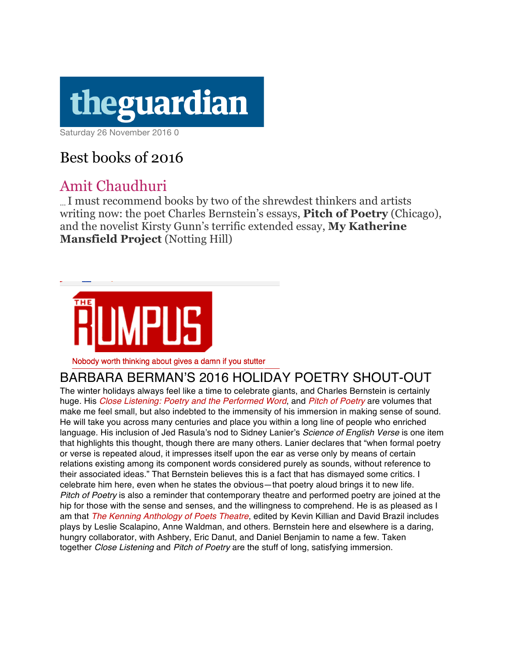# theguardian

Saturday 26 November 2016 0

## Best books of 2016

### Amit Chaudhuri

… I must recommend books by two of the shrewdest thinkers and artists writing now: the poet Charles Bernstein's essays, **Pitch of Poetry** (Chicago), and the novelist Kirsty Gunn's terrific extended essay, **My Katherine Mansfield Project** (Notting Hill)



Nobody worth thinking about gives a damn if you stutter

#### BARBARA BERMAN'S 2016 HOLIDAY POETRY SHOUT-OUT

The winter holidays always feel like a time to celebrate giants, and Charles Bernstein is certainly huge. His *Close Listening: Poetry and the Performed Word*, and *Pitch of Poetry* are volumes that make me feel small, but also indebted to the immensity of his immersion in making sense of sound. He will take you across many centuries and place you within a long line of people who enriched language. His inclusion of Jed Rasula's nod to Sidney Lanier's *Science of English Verse* is one item that highlights this thought, though there are many others. Lanier declares that "when formal poetry or verse is repeated aloud, it impresses itself upon the ear as verse only by means of certain relations existing among its component words considered purely as sounds, without reference to their associated ideas." That Bernstein believes this is a fact that has dismayed some critics. I celebrate him here, even when he states the obvious—that poetry aloud brings it to new life. *Pitch of Poetry* is also a reminder that contemporary theatre and performed poetry are joined at the hip for those with the sense and senses, and the willingness to comprehend. He is as pleased as I am that *The Kenning Anthology of Poets Theatre*, edited by Kevin Killian and David Brazil includes plays by Leslie Scalapino, Anne Waldman, and others. Bernstein here and elsewhere is a daring, hungry collaborator, with Ashbery, Eric Danut, and Daniel Benjamin to name a few. Taken together *Close Listening* and *Pitch of Poetry* are the stuff of long, satisfying immersion.